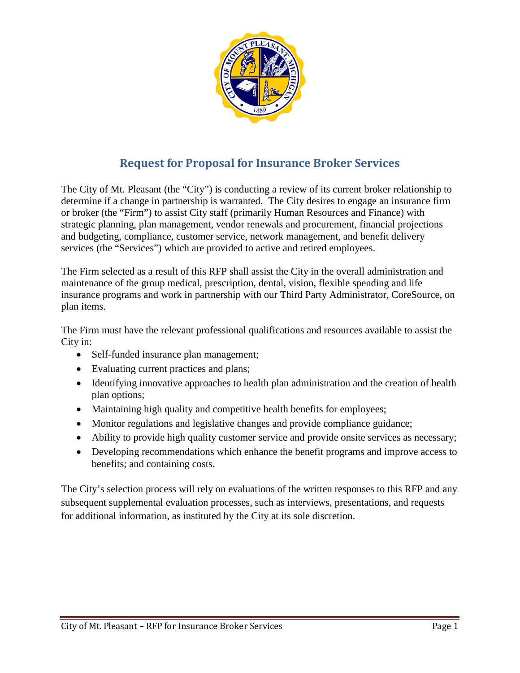

# **Request for Proposal for Insurance Broker Services**

The City of Mt. Pleasant (the "City") is conducting a review of its current broker relationship to determine if a change in partnership is warranted. The City desires to engage an insurance firm or broker (the "Firm") to assist City staff (primarily Human Resources and Finance) with strategic planning, plan management, vendor renewals and procurement, financial projections and budgeting, compliance, customer service, network management, and benefit delivery services (the "Services") which are provided to active and retired employees.

The Firm selected as a result of this RFP shall assist the City in the overall administration and maintenance of the group medical, prescription, dental, vision, flexible spending and life insurance programs and work in partnership with our Third Party Administrator, CoreSource, on plan items.

The Firm must have the relevant professional qualifications and resources available to assist the City in:

- Self-funded insurance plan management;
- Evaluating current practices and plans;
- Identifying innovative approaches to health plan administration and the creation of health plan options;
- Maintaining high quality and competitive health benefits for employees;
- Monitor regulations and legislative changes and provide compliance guidance;
- Ability to provide high quality customer service and provide onsite services as necessary;
- Developing recommendations which enhance the benefit programs and improve access to benefits; and containing costs.

The City's selection process will rely on evaluations of the written responses to this RFP and any subsequent supplemental evaluation processes, such as interviews, presentations, and requests for additional information, as instituted by the City at its sole discretion.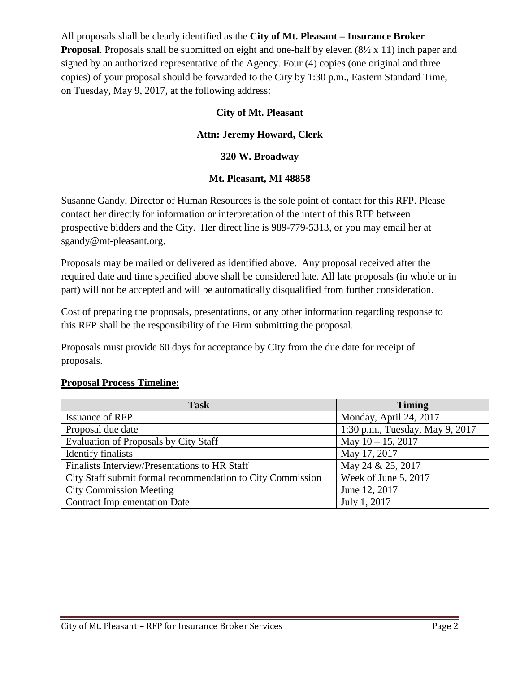All proposals shall be clearly identified as the **City of Mt. Pleasant – Insurance Broker Proposal.** Proposals shall be submitted on eight and one-half by eleven  $(8\frac{1}{2} \times 11)$  inch paper and signed by an authorized representative of the Agency. Four (4) copies (one original and three copies) of your proposal should be forwarded to the City by 1:30 p.m., Eastern Standard Time, on Tuesday, May 9, 2017, at the following address:

#### **City of Mt. Pleasant**

#### **Attn: Jeremy Howard, Clerk**

#### **320 W. Broadway**

#### **Mt. Pleasant, MI 48858**

Susanne Gandy, Director of Human Resources is the sole point of contact for this RFP. Please contact her directly for information or interpretation of the intent of this RFP between prospective bidders and the City. Her direct line is 989-779-5313, or you may email her at sgandy@mt-pleasant.org.

Proposals may be mailed or delivered as identified above. Any proposal received after the required date and time specified above shall be considered late. All late proposals (in whole or in part) will not be accepted and will be automatically disqualified from further consideration.

Cost of preparing the proposals, presentations, or any other information regarding response to this RFP shall be the responsibility of the Firm submitting the proposal.

Proposals must provide 60 days for acceptance by City from the due date for receipt of proposals.

#### **Proposal Process Timeline:**

| <b>Task</b>                                                | <b>Timing</b>                   |
|------------------------------------------------------------|---------------------------------|
| Issuance of RFP                                            | Monday, April 24, 2017          |
| Proposal due date                                          | 1:30 p.m., Tuesday, May 9, 2017 |
| <b>Evaluation of Proposals by City Staff</b>               | May $10 - 15$ , 2017            |
| <b>Identify finalists</b>                                  | May 17, 2017                    |
| Finalists Interview/Presentations to HR Staff              | May 24 & 25, 2017               |
| City Staff submit formal recommendation to City Commission | Week of June 5, 2017            |
| <b>City Commission Meeting</b>                             | June 12, 2017                   |
| <b>Contract Implementation Date</b>                        | July 1, 2017                    |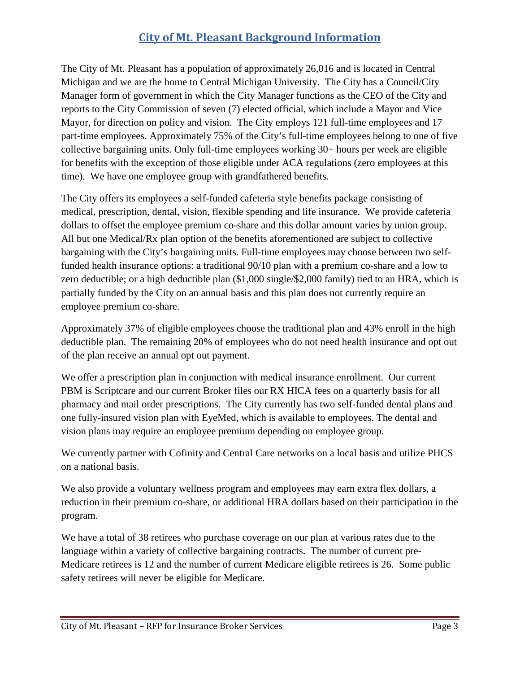# **City of Mt. Pleasant Background Information**

The City of Mt. Pleasant has a population of approximately 26,016 and is located in Central Michigan and we are the home to Central Michigan University. The City has a Council/City Manager form of government in which the City Manager functions as the CEO of the City and reports to the City Commission of seven (7) elected official, which include a Mayor and Vice Mayor, for direction on policy and vision. The City employs 121 full-time employees and 17 part-time employees. Approximately 75% of the City's full-time employees belong to one of five collective bargaining units. Only full-time employees working 30+ hours per week are eligible for benefits with the exception of those eligible under ACA regulations (zero employees at this time). We have one employee group with grandfathered benefits.

The City offers its employees a self-funded cafeteria style benefits package consisting of medical, prescription, dental, vision, flexible spending and life insurance. We provide cafeteria dollars to offset the employee premium co-share and this dollar amount varies by union group. All but one Medical/Rx plan option of the benefits aforementioned are subject to collective bargaining with the City's bargaining units. Full-time employees may choose between two selffunded health insurance options: a traditional 90/10 plan with a premium co-share and a low to zero deductible; or a high deductible plan (\$1,000 single/\$2,000 family) tied to an HRA, which is partially funded by the City on an annual basis and this plan does not currently require an employee premium co-share.

Approximately 37% of eligible employees choose the traditional plan and 43% enroll in the high deductible plan. The remaining 20% of employees who do not need health insurance and opt out of the plan receive an annual opt out payment.

We offer a prescription plan in conjunction with medical insurance enrollment. Our current PBM is Scriptcare and our current Broker files our RX HICA fees on a quarterly basis for all pharmacy and mail order prescriptions. The City currently has two self-funded dental plans and one fully-insured vision plan with EyeMed, which is available to employees. The dental and vision plans may require an employee premium depending on employee group.

We currently partner with Cofinity and Central Care networks on a local basis and utilize PHCS on a national basis.

We also provide a voluntary wellness program and employees may earn extra flex dollars, a reduction in their premium co-share, or additional HRA dollars based on their participation in the program.

We have a total of 38 retirees who purchase coverage on our plan at various rates due to the language within a variety of collective bargaining contracts. The number of current pre-Medicare retirees is 12 and the number of current Medicare eligible retirees is 26. Some public safety retirees will never be eligible for Medicare.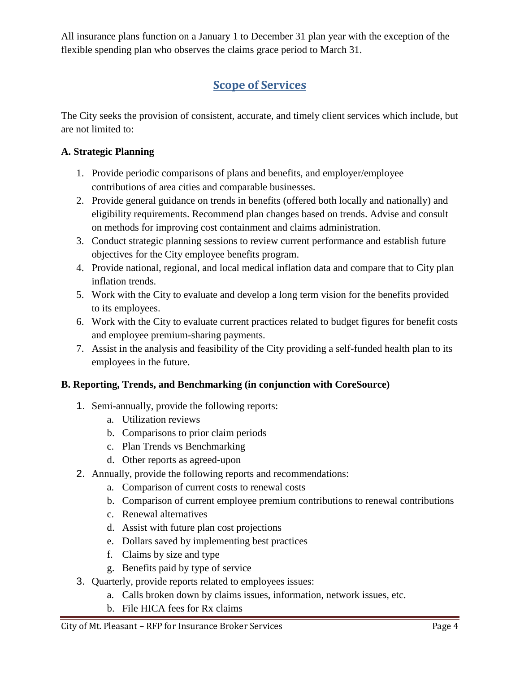All insurance plans function on a January 1 to December 31 plan year with the exception of the flexible spending plan who observes the claims grace period to March 31.

# **Scope of Services**

The City seeks the provision of consistent, accurate, and timely client services which include, but are not limited to:

### **A. Strategic Planning**

- 1. Provide periodic comparisons of plans and benefits, and employer/employee contributions of area cities and comparable businesses.
- 2. Provide general guidance on trends in benefits (offered both locally and nationally) and eligibility requirements. Recommend plan changes based on trends. Advise and consult on methods for improving cost containment and claims administration.
- 3. Conduct strategic planning sessions to review current performance and establish future objectives for the City employee benefits program.
- 4. Provide national, regional, and local medical inflation data and compare that to City plan inflation trends.
- 5. Work with the City to evaluate and develop a long term vision for the benefits provided to its employees.
- 6. Work with the City to evaluate current practices related to budget figures for benefit costs and employee premium-sharing payments.
- 7. Assist in the analysis and feasibility of the City providing a self-funded health plan to its employees in the future.

## **B. Reporting, Trends, and Benchmarking (in conjunction with CoreSource)**

- 1. Semi-annually, provide the following reports:
	- a. Utilization reviews
	- b. Comparisons to prior claim periods
	- c. Plan Trends vs Benchmarking
	- d. Other reports as agreed-upon
- 2. Annually, provide the following reports and recommendations:
	- a. Comparison of current costs to renewal costs
	- b. Comparison of current employee premium contributions to renewal contributions
	- c. Renewal alternatives
	- d. Assist with future plan cost projections
	- e. Dollars saved by implementing best practices
	- f. Claims by size and type
	- g. Benefits paid by type of service
- 3. Quarterly, provide reports related to employees issues:
	- a. Calls broken down by claims issues, information, network issues, etc.
	- b. File HICA fees for Rx claims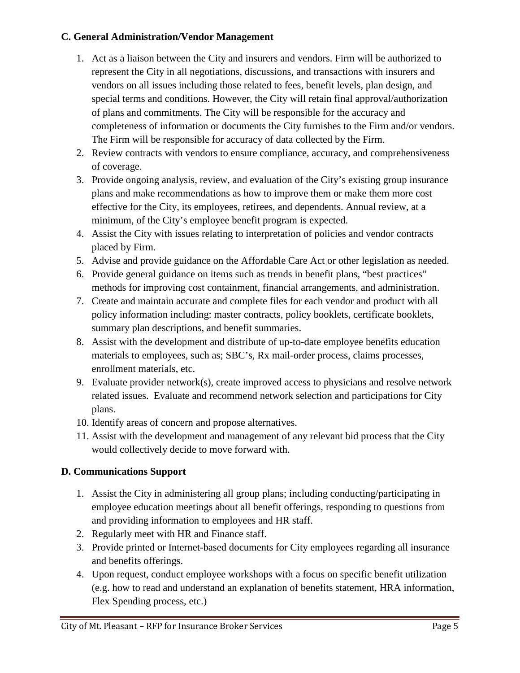#### **C. General Administration/Vendor Management**

- 1. Act as a liaison between the City and insurers and vendors. Firm will be authorized to represent the City in all negotiations, discussions, and transactions with insurers and vendors on all issues including those related to fees, benefit levels, plan design, and special terms and conditions. However, the City will retain final approval/authorization of plans and commitments. The City will be responsible for the accuracy and completeness of information or documents the City furnishes to the Firm and/or vendors. The Firm will be responsible for accuracy of data collected by the Firm.
- 2. Review contracts with vendors to ensure compliance, accuracy, and comprehensiveness of coverage.
- 3. Provide ongoing analysis, review, and evaluation of the City's existing group insurance plans and make recommendations as how to improve them or make them more cost effective for the City, its employees, retirees, and dependents. Annual review, at a minimum, of the City's employee benefit program is expected.
- 4. Assist the City with issues relating to interpretation of policies and vendor contracts placed by Firm.
- 5. Advise and provide guidance on the Affordable Care Act or other legislation as needed.
- 6. Provide general guidance on items such as trends in benefit plans, "best practices" methods for improving cost containment, financial arrangements, and administration.
- 7. Create and maintain accurate and complete files for each vendor and product with all policy information including: master contracts, policy booklets, certificate booklets, summary plan descriptions, and benefit summaries.
- 8. Assist with the development and distribute of up-to-date employee benefits education materials to employees, such as; SBC's, Rx mail-order process, claims processes, enrollment materials, etc.
- 9. Evaluate provider network(s), create improved access to physicians and resolve network related issues. Evaluate and recommend network selection and participations for City plans.
- 10. Identify areas of concern and propose alternatives.
- 11. Assist with the development and management of any relevant bid process that the City would collectively decide to move forward with.

## **D. Communications Support**

- 1. Assist the City in administering all group plans; including conducting/participating in employee education meetings about all benefit offerings, responding to questions from and providing information to employees and HR staff.
- 2. Regularly meet with HR and Finance staff.
- 3. Provide printed or Internet-based documents for City employees regarding all insurance and benefits offerings.
- 4. Upon request, conduct employee workshops with a focus on specific benefit utilization (e.g. how to read and understand an explanation of benefits statement, HRA information, Flex Spending process, etc.)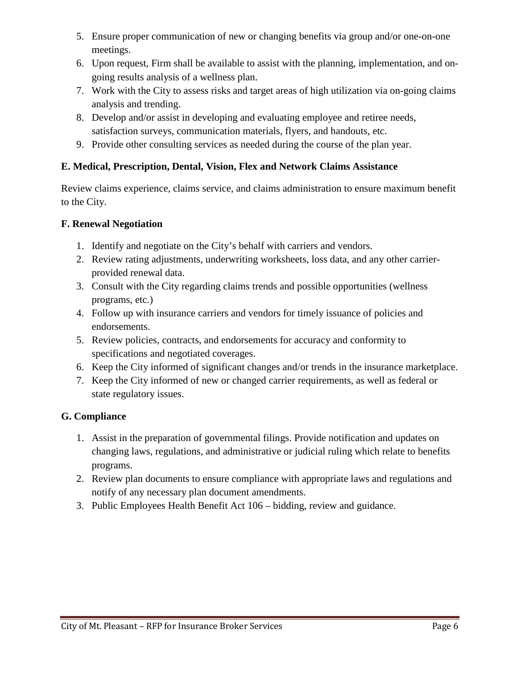- 5. Ensure proper communication of new or changing benefits via group and/or one-on-one meetings.
- 6. Upon request, Firm shall be available to assist with the planning, implementation, and ongoing results analysis of a wellness plan.
- 7. Work with the City to assess risks and target areas of high utilization via on-going claims analysis and trending.
- 8. Develop and/or assist in developing and evaluating employee and retiree needs, satisfaction surveys, communication materials, flyers, and handouts, etc.
- 9. Provide other consulting services as needed during the course of the plan year.

#### **E. Medical, Prescription, Dental, Vision, Flex and Network Claims Assistance**

Review claims experience, claims service, and claims administration to ensure maximum benefit to the City.

#### **F. Renewal Negotiation**

- 1. Identify and negotiate on the City's behalf with carriers and vendors.
- 2. Review rating adjustments, underwriting worksheets, loss data, and any other carrierprovided renewal data.
- 3. Consult with the City regarding claims trends and possible opportunities (wellness programs, etc.)
- 4. Follow up with insurance carriers and vendors for timely issuance of policies and endorsements.
- 5. Review policies, contracts, and endorsements for accuracy and conformity to specifications and negotiated coverages.
- 6. Keep the City informed of significant changes and/or trends in the insurance marketplace.
- 7. Keep the City informed of new or changed carrier requirements, as well as federal or state regulatory issues.

## **G. Compliance**

- 1. Assist in the preparation of governmental filings. Provide notification and updates on changing laws, regulations, and administrative or judicial ruling which relate to benefits programs.
- 2. Review plan documents to ensure compliance with appropriate laws and regulations and notify of any necessary plan document amendments.
- 3. Public Employees Health Benefit Act 106 bidding, review and guidance.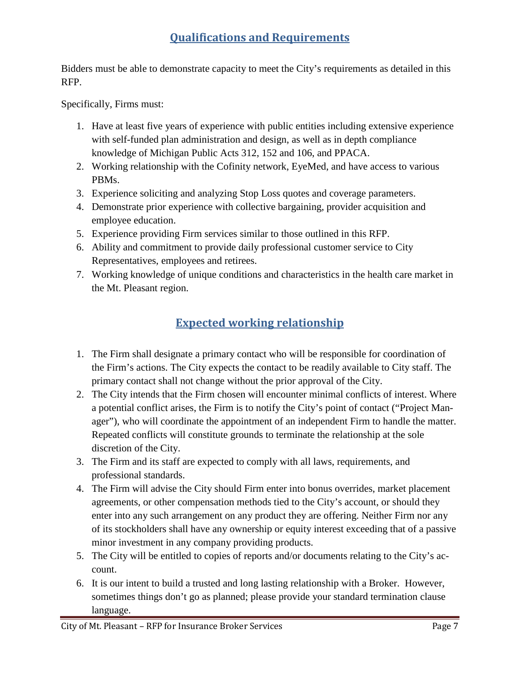## **Qualifications and Requirements**

Bidders must be able to demonstrate capacity to meet the City's requirements as detailed in this RFP.

Specifically, Firms must:

- 1. Have at least five years of experience with public entities including extensive experience with self-funded plan administration and design, as well as in depth compliance knowledge of Michigan Public Acts 312, 152 and 106, and PPACA.
- 2. Working relationship with the Cofinity network, EyeMed, and have access to various PBMs.
- 3. Experience soliciting and analyzing Stop Loss quotes and coverage parameters.
- 4. Demonstrate prior experience with collective bargaining, provider acquisition and employee education.
- 5. Experience providing Firm services similar to those outlined in this RFP.
- 6. Ability and commitment to provide daily professional customer service to City Representatives, employees and retirees.
- 7. Working knowledge of unique conditions and characteristics in the health care market in the Mt. Pleasant region.

# **Expected working relationship**

- 1. The Firm shall designate a primary contact who will be responsible for coordination of the Firm's actions. The City expects the contact to be readily available to City staff. The primary contact shall not change without the prior approval of the City.
- 2. The City intends that the Firm chosen will encounter minimal conflicts of interest. Where a potential conflict arises, the Firm is to notify the City's point of contact ("Project Manager"), who will coordinate the appointment of an independent Firm to handle the matter. Repeated conflicts will constitute grounds to terminate the relationship at the sole discretion of the City.
- 3. The Firm and its staff are expected to comply with all laws, requirements, and professional standards.
- 4. The Firm will advise the City should Firm enter into bonus overrides, market placement agreements, or other compensation methods tied to the City's account, or should they enter into any such arrangement on any product they are offering. Neither Firm nor any of its stockholders shall have any ownership or equity interest exceeding that of a passive minor investment in any company providing products.
- 5. The City will be entitled to copies of reports and/or documents relating to the City's account.
- 6. It is our intent to build a trusted and long lasting relationship with a Broker. However, sometimes things don't go as planned; please provide your standard termination clause language.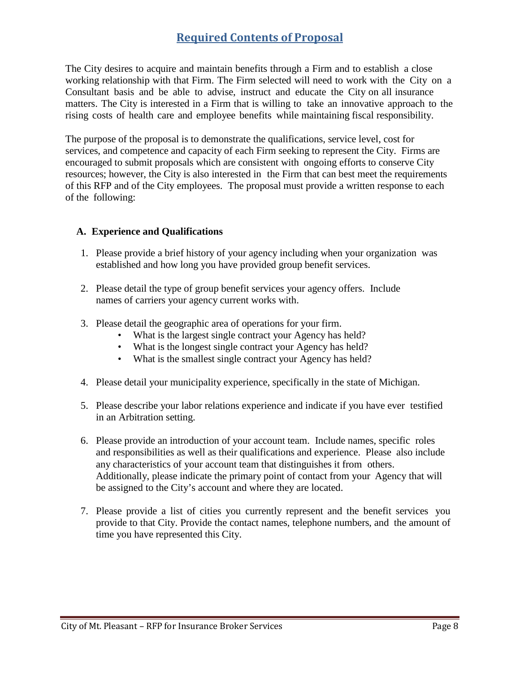## **Required Contents of Proposal**

The City desires to acquire and maintain benefits through a Firm and to establish a close working relationship with that Firm. The Firm selected will need to work with the City on a Consultant basis and be able to advise, instruct and educate the City on all insurance matters. The City is interested in a Firm that is willing to take an innovative approach to the rising costs of health care and employee benefits while maintaining fiscal responsibility.

The purpose of the proposal is to demonstrate the qualifications, service level, cost for services, and competence and capacity of each Firm seeking to represent the City. Firms are encouraged to submit proposals which are consistent with ongoing efforts to conserve City resources; however, the City is also interested in the Firm that can best meet the requirements of this RFP and of the City employees. The proposal must provide a written response to each of the following:

#### **A. Experience and Qualifications**

- 1. Please provide a brief history of your agency including when your organization was established and how long you have provided group benefit services.
- 2. Please detail the type of group benefit services your agency offers. Include names of carriers your agency current works with.
- 3. Please detail the geographic area of operations for your firm.
	- What is the largest single contract your Agency has held?
	- What is the longest single contract your Agency has held?
	- What is the smallest single contract your Agency has held?
- 4. Please detail your municipality experience, specifically in the state of Michigan.
- 5. Please describe your labor relations experience and indicate if you have ever testified in an Arbitration setting.
- 6. Please provide an introduction of your account team. Include names, specific roles and responsibilities as well as their qualifications and experience. Please also include any characteristics of your account team that distinguishes it from others. Additionally, please indicate the primary point of contact from your Agency that will be assigned to the City's account and where they are located.
- 7. Please provide a list of cities you currently represent and the benefit services you provide to that City. Provide the contact names, telephone numbers, and the amount of time you have represented this City.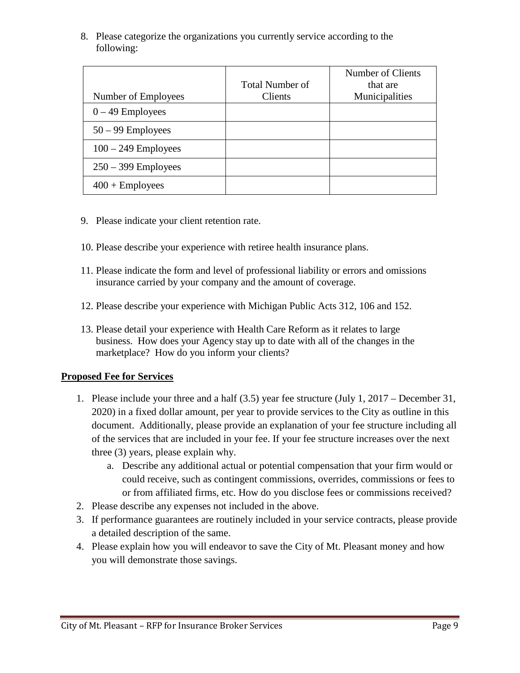8. Please categorize the organizations you currently service according to the following:

|                       | <b>Total Number of</b> | Number of Clients<br>that are |
|-----------------------|------------------------|-------------------------------|
| Number of Employees   | Clients                | Municipalities                |
| $0 - 49$ Employees    |                        |                               |
| $50 - 99$ Employees   |                        |                               |
| $100 - 249$ Employees |                        |                               |
| $250 - 399$ Employees |                        |                               |
| $400 +$ Employees     |                        |                               |

- 9. Please indicate your client retention rate.
- 10. Please describe your experience with retiree health insurance plans.
- 11. Please indicate the form and level of professional liability or errors and omissions insurance carried by your company and the amount of coverage.
- 12. Please describe your experience with Michigan Public Acts 312, 106 and 152.
- 13. Please detail your experience with Health Care Reform as it relates to large business. How does your Agency stay up to date with all of the changes in the marketplace? How do you inform your clients?

#### **Proposed Fee for Services**

- 1. Please include your three and a half (3.5) year fee structure (July 1, 2017 December 31, 2020) in a fixed dollar amount, per year to provide services to the City as outline in this document. Additionally, please provide an explanation of your fee structure including all of the services that are included in your fee. If your fee structure increases over the next three (3) years, please explain why.
	- a. Describe any additional actual or potential compensation that your firm would or could receive, such as contingent commissions, overrides, commissions or fees to or from affiliated firms, etc. How do you disclose fees or commissions received?
- 2. Please describe any expenses not included in the above.
- 3. If performance guarantees are routinely included in your service contracts, please provide a detailed description of the same.
- 4. Please explain how you will endeavor to save the City of Mt. Pleasant money and how you will demonstrate those savings.